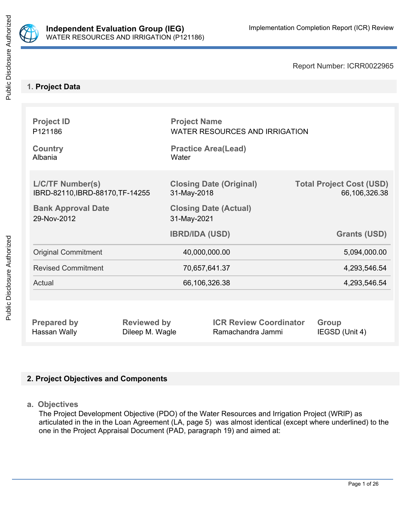

Report Number: ICRR0022965

## **1. Project Data**

| <b>Project ID</b><br>P <sub>121186</sub>                    |             | <b>Project Name</b><br><b>WATER RESOURCES AND IRRIGATION</b> |                                                  |  |
|-------------------------------------------------------------|-------------|--------------------------------------------------------------|--------------------------------------------------|--|
| <b>Country</b><br>Albania                                   | Water       | <b>Practice Area(Lead)</b>                                   |                                                  |  |
| <b>L/C/TF Number(s)</b><br>IBRD-82110, IBRD-88170, TF-14255 | 31-May-2018 | <b>Closing Date (Original)</b>                               | <b>Total Project Cost (USD)</b><br>66,106,326.38 |  |
| <b>Bank Approval Date</b><br>29-Nov-2012                    | 31-May-2021 | <b>Closing Date (Actual)</b>                                 |                                                  |  |
|                                                             |             | <b>IBRD/IDA (USD)</b>                                        | <b>Grants (USD)</b>                              |  |
|                                                             |             |                                                              |                                                  |  |
| <b>Original Commitment</b>                                  |             | 40,000,000.00                                                | 5,094,000.00                                     |  |
| <b>Revised Commitment</b>                                   |             | 70,657,641.37                                                | 4,293,546.54                                     |  |
| Actual                                                      |             | 66,106,326.38                                                | 4,293,546.54                                     |  |
|                                                             |             |                                                              |                                                  |  |

## **2. Project Objectives and Components**

**a. Objectives**

The Project Development Objective (PDO) of the Water Resources and Irrigation Project (WRIP) as articulated in the in the Loan Agreement (LA, page 5) was almost identical (except where underlined) to the one in the Project Appraisal Document (PAD, paragraph 19) and aimed at: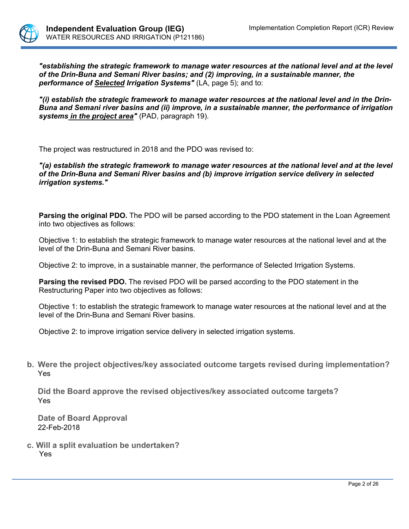

**"establishing the strategic framework to manage water resources at the national level and at the level** *of the Drin-Buna and Semani River basins; and (2) improving, in a sustainable manner, the performance of Selected Irrigation Systems"* (LA, page 5); and to:

*"(i) establish the strategic framework to manage water resources at the national level and in the Drin-Buna and Semani river basins and (ii) improve, in a sustainable manner, the performance of irrigation systems in the project area"* (PAD, paragraph 19).

The project was restructured in 2018 and the PDO was revised to:

*"(a) establish the strategic framework to manage water resources at the national level and at the level of the Drin-Buna and Semani River basins and (b) improve irrigation service delivery in selected irrigation systems."*

**Parsing the original PDO.** The PDO will be parsed according to the PDO statement in the Loan Agreement into two objectives as follows:

Objective 1: to establish the strategic framework to manage water resources at the national level and at the level of the Drin-Buna and Semani River basins.

Objective 2: to improve, in a sustainable manner, the performance of Selected Irrigation Systems.

**Parsing the revised PDO.** The revised PDO will be parsed according to the PDO statement in the Restructuring Paper into two objectives as follows:

Objective 1: to establish the strategic framework to manage water resources at the national level and at the level of the Drin-Buna and Semani River basins.

Objective 2: to improve irrigation service delivery in selected irrigation systems.

**b. Were the project objectives/key associated outcome targets revised during implementation?** Yes

**Did the Board approve the revised objectives/key associated outcome targets?** Yes

**Date of Board Approval** 22-Feb-2018

**c. Will a split evaluation be undertaken?** Yes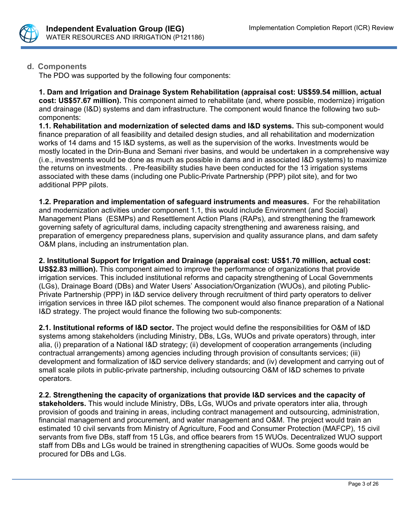

## **d. Components**

The PDO was supported by the following four components:

**1. Dam and Irrigation and Drainage System Rehabilitation (appraisal cost: US\$59.54 million, actual cost: US\$57.67 million).** This component aimed to rehabilitate (and, where possible, modernize) irrigation and drainage (I&D) systems and dam infrastructure. The component would finance the following two subcomponents:

**1.1. Rehabilitation and modernization of selected dams and I&D systems.** This sub-component would finance preparation of all feasibility and detailed design studies, and all rehabilitation and modernization works of 14 dams and 15 I&D systems, as well as the supervision of the works. Investments would be mostly located in the Drin-Buna and Semani river basins, and would be undertaken in a comprehensive way (i.e., investments would be done as much as possible in dams and in associated I&D systems) to maximize the returns on investments. . Pre-feasibility studies have been conducted for the 13 irrigation systems associated with these dams (including one Public-Private Partnership (PPP) pilot site), and for two additional PPP pilots.

**1.2. Preparation and implementation of safeguard instruments and measures.** For the rehabilitation and modernization activities under component 1.1, this would include Environment (and Social) Management Plans (ESMPs) and Resettlement Action Plans (RAPs), and strengthening the framework governing safety of agricultural dams, including capacity strengthening and awareness raising, and preparation of emergency preparedness plans, supervision and quality assurance plans, and dam safety O&M plans, including an instrumentation plan.

**2. Institutional Support for Irrigation and Drainage (appraisal cost: US\$1.70 million, actual cost: US\$2.83 million).** This component aimed to improve the performance of organizations that provide irrigation services. This included institutional reforms and capacity strengthening of Local Governments (LGs), Drainage Board (DBs) and Water Users' Association/Organization (WUOs), and piloting Public-Private Partnership (PPP) in I&D service delivery through recruitment of third party operators to deliver irrigation services in three I&D pilot schemes. The component would also finance preparation of a National I&D strategy. The project would finance the following two sub-components:

**2.1. Institutional reforms of I&D sector.** The project would define the responsibilities for O&M of I&D systems among stakeholders (including Ministry, DBs, LGs, WUOs and private operators) through, inter alia, (i) preparation of a National I&D strategy; (ii) development of cooperation arrangements (including contractual arrangements) among agencies including through provision of consultants services; (iii) development and formalization of I&D service delivery standards; and (iv) development and carrying out of small scale pilots in public-private partnership, including outsourcing O&M of I&D schemes to private operators.

**2.2. Strengthening the capacity of organizations that provide I&D services and the capacity of stakeholders.** This would include Ministry, DBs, LGs, WUOs and private operators inter alia, through provision of goods and training in areas, including contract management and outsourcing, administration, financial management and procurement, and water management and O&M. The project would train an estimated 10 civil servants from Ministry of Agriculture, Food and Consumer Protection (MAFCP), 15 civil servants from five DBs, staff from 15 LGs, and office bearers from 15 WUOs. Decentralized WUO support staff from DBs and LGs would be trained in strengthening capacities of WUOs. Some goods would be procured for DBs and LGs.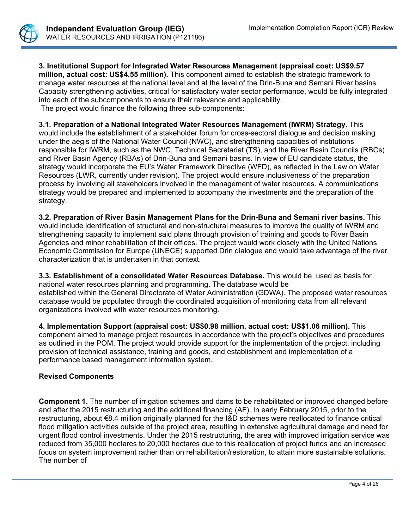

**3. Institutional Support for Integrated Water Resources Management (appraisal cost: US\$9.57 million, actual cost: US\$4.55 million).** This component aimed to establish the strategic framework to manage water resources at the national level and at the level of the Drin-Buna and Semani River basins. Capacity strengthening activities, critical for satisfactory water sector performance, would be fully integrated into each of the subcomponents to ensure their relevance and applicability. The project would finance the following three sub-components:

**3.1. Preparation of a National Integrated Water Resources Management (IWRM) Strategy.** This would include the establishment of a stakeholder forum for cross-sectoral dialogue and decision making under the aegis of the National Water Council (NWC), and strengthening capacities of institutions responsible for IWRM, such as the NWC, Technical Secretariat (TS), and the River Basin Councils (RBCs) and River Basin Agency (RBAs) of Drin-Buna and Semani basins. In view of EU candidate status, the strategy would incorporate the EU's Water Framework Directive (WFD), as reflected in the Law on Water Resources (LWR, currently under revision). The project would ensure inclusiveness of the preparation process by involving all stakeholders involved in the management of water resources. A communications strategy would be prepared and implemented to accompany the investments and the preparation of the strategy.

**3.2. Preparation of River Basin Management Plans for the Drin-Buna and Semani river basins.** This would include identification of structural and non-structural measures to improve the quality of IWRM and strengthening capacity to implement said plans through provision of training and goods to River Basin Agencies and minor rehabilitation of their offices. The project would work closely with the United Nations Economic Commission for Europe (UNECE) supported Drin dialogue and would take advantage of the river characterization that is undertaken in that context.

**3.3. Establishment of a consolidated Water Resources Database.** This would be used as basis for national water resources planning and programming. The database would be established within the General Directorate of Water Administration (GDWA). The proposed water resources database would be populated through the coordinated acquisition of monitoring data from all relevant organizations involved with water resources monitoring.

**4. Implementation Support (appraisal cost: US\$0.98 million, actual cost: US\$1.06 million).** This component aimed to manage project resources in accordance with the project's objectives and procedures as outlined in the POM. The project would provide support for the implementation of the project, including provision of technical assistance, training and goods, and establishment and implementation of a performance based management information system.

## **Revised Components**

**Component 1.** The number of irrigation schemes and dams to be rehabilitated or improved changed before and after the 2015 restructuring and the additional financing (AF). In early February 2015, prior to the restructuring, about €8.4 million originally planned for the I&D schemes were reallocated to finance critical flood mitigation activities outside of the project area, resulting in extensive agricultural damage and need for urgent flood control investments. Under the 2015 restructuring, the area with improved irrigation service was reduced from 35,000 hectares to 20,000 hectares due to this reallocation of project funds and an increased focus on system improvement rather than on rehabilitation/restoration, to attain more sustainable solutions. The number of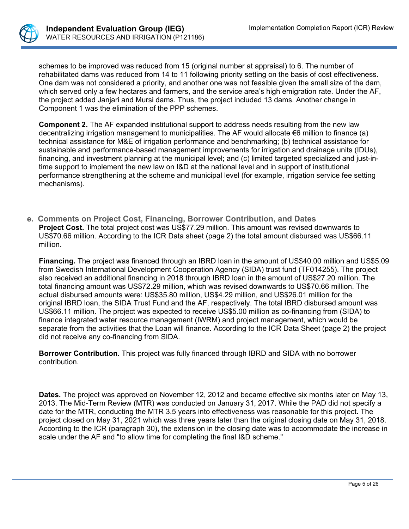

schemes to be improved was reduced from 15 (original number at appraisal) to 6. The number of rehabilitated dams was reduced from 14 to 11 following priority setting on the basis of cost effectiveness. One dam was not considered a priority, and another one was not feasible given the small size of the dam, which served only a few hectares and farmers, and the service area's high emigration rate. Under the AF, the project added Janjari and Mursi dams. Thus, the project included 13 dams. Another change in Component 1 was the elimination of the PPP schemes.

**Component 2.** The AF expanded institutional support to address needs resulting from the new law decentralizing irrigation management to municipalities. The AF would allocate €6 million to finance (a) technical assistance for M&E of irrigation performance and benchmarking; (b) technical assistance for sustainable and performance-based management improvements for irrigation and drainage units (IDUs), financing, and investment planning at the municipal level; and (c) limited targeted specialized and just-intime support to implement the new law on I&D at the national level and in support of institutional performance strengthening at the scheme and municipal level (for example, irrigation service fee setting mechanisms).

**e. Comments on Project Cost, Financing, Borrower Contribution, and Dates Project Cost.** The total project cost was US\$77.29 million. This amount was revised downwards to US\$70.66 million. According to the ICR Data sheet (page 2) the total amount disbursed was US\$66.11 million.

**Financing.** The project was financed through an IBRD loan in the amount of US\$40.00 million and US\$5.09 from Swedish International Development Cooperation Agency (SIDA) trust fund (TF014255). The project also received an additional financing in 2018 through IBRD loan in the amount of US\$27.20 million. The total financing amount was US\$72.29 million, which was revised downwards to US\$70.66 million. The actual disbursed amounts were: US\$35.80 million, US\$4.29 million, and US\$26.01 million for the original IBRD loan, the SIDA Trust Fund and the AF, respectively. The total IBRD disbursed amount was US\$66.11 million. The project was expected to receive US\$5.00 million as co-financing from (SIDA) to finance integrated water resource management (IWRM) and project management, which would be separate from the activities that the Loan will finance. According to the ICR Data Sheet (page 2) the project did not receive any co-financing from SIDA.

**Borrower Contribution.** This project was fully financed through IBRD and SIDA with no borrower contribution.

**Dates.** The project was approved on November 12, 2012 and became effective six months later on May 13, 2013. The Mid-Term Review (MTR) was conducted on January 31, 2017. While the PAD did not specify a date for the MTR, conducting the MTR 3.5 years into effectiveness was reasonable for this project. The project closed on May 31, 2021 which was three years later than the original closing date on May 31, 2018. According to the ICR (paragraph 30), the extension in the closing date was to accommodate the increase in scale under the AF and "to allow time for completing the final I&D scheme."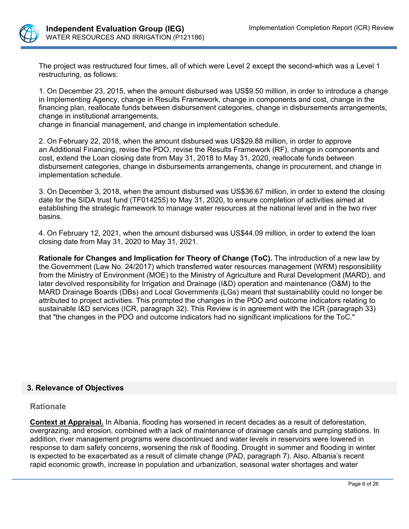

The project was restructured four times, all of which were Level 2 except the second-which was a Level 1 restructuring, as follows:

1. On December 23, 2015, when the amount disbursed was US\$9.50 million, in order to introduce a change in Implementing Agency, change in Results Framework, change in components and cost, change in the financing plan, reallocate funds between disbursement categories, change in disbursements arrangements, change in institutional arrangements,

change in financial management, and change in implementation schedule.

2. On February 22, 2018, when the amount disbursed was US\$29.88 million, in order to approve an Additional Financing, revise the PDO, revise the Results Framework (RF), change in components and cost, extend the Loan closing date from May 31, 2018 to May 31, 2020, reallocate funds between disbursement categories, change in disbursements arrangements, change in procurement, and change in implementation schedule.

3. On December 3, 2018, when the amount disbursed was US\$36.67 million, in order to extend the closing date for the SIDA trust fund (TF014255) to May 31, 2020, to ensure completion of activities aimed at establishing the strategic framework to manage water resources at the national level and in the two river basins.

4. On February 12, 2021, when the amount disbursed was US\$44.09 million, in order to extend the loan closing date from May 31, 2020 to May 31, 2021.

**Rationale for Changes and Implication for Theory of Change (ToC).** The introduction of a new law by the Government (Law No. 24/2017) which transferred water resources management (WRM) responsibility from the Ministry of Environment (MOE) to the Ministry of Agriculture and Rural Development (MARD), and later devolved responsibility for Irrigation and Drainage (I&D) operation and maintenance (O&M) to the MARD Drainage Boards (DBs) and Local Governments (LGs) meant that sustainability could no longer be attributed to project activities. This prompted the changes in the PDO and outcome indicators relating to sustainable I&D services (ICR, paragraph 32). This Review is in agreement with the ICR (paragraph 33) that "the changes in the PDO and outcome indicators had no significant implications for the ToC."

## **3. Relevance of Objectives**

## **Rationale**

**Context at Appraisal.** In Albania, flooding has worsened in recent decades as a result of deforestation, overgrazing, and erosion, combined with a lack of maintenance of drainage canals and pumping stations. In addition, river management programs were discontinued and water levels in reservoirs were lowered in response to dam safety concerns, worsening the risk of flooding. Drought in summer and flooding in winter is expected to be exacerbated as a result of climate change (PAD, paragraph 7). Also, Albania's recent rapid economic growth, increase in population and urbanization, seasonal water shortages and water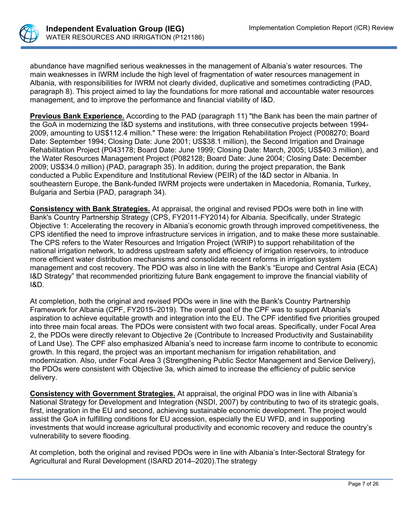

abundance have magnified serious weaknesses in the management of Albania's water resources. The main weaknesses in IWRM include the high level of fragmentation of water resources management in Albania, with responsibilities for IWRM not clearly divided, duplicative and sometimes contradicting (PAD, paragraph 8). This project aimed to lay the foundations for more rational and accountable water resources management, and to improve the performance and financial viability of I&D.

**Previous Bank Experience.** According to the PAD (paragraph 11) "the Bank has been the main partner of the GoA in modernizing the I&D systems and institutions, with three consecutive projects between 1994- 2009, amounting to US\$112.4 million." These were: the Irrigation Rehabilitation Project (P008270; Board Date: September 1994; Closing Date: June 2001; US\$38.1 million), the Second Irrigation and Drainage Rehabilitation Project (P043178; Board Date: June 1999; Closing Date: March, 2005; US\$40.3 million), and the Water Resources Management Project (P082128; Board Date: June 2004; Closing Date: December 2009; US\$34.0 million) (PAD, paragraph 35). In addition, during the project preparation, the Bank conducted a Public Expenditure and Institutional Review (PEIR) of the I&D sector in Albania. In southeastern Europe, the Bank-funded IWRM projects were undertaken in Macedonia, Romania, Turkey, Bulgaria and Serbia (PAD, paragraph 34).

**Consistency with Bank Strategies.** At appraisal, the original and revised PDOs were both in line with Bank's Country Partnership Strategy (CPS, FY2011-FY2014) for Albania. Specifically, under Strategic Objective 1: Accelerating the recovery in Albania's economic growth through improved competitiveness, the CPS identified the need to improve infrastructure services in irrigation, and to make these more sustainable. The CPS refers to the Water Resources and Irrigation Project (WRIP) to support rehabilitation of the national irrigation network, to address upstream safety and efficiency of irrigation reservoirs, to introduce more efficient water distribution mechanisms and consolidate recent reforms in irrigation system management and cost recovery. The PDO was also in line with the Bank's "Europe and Central Asia (ECA) I&D Strategy" that recommended prioritizing future Bank engagement to improve the financial viability of I&D.

At completion, both the original and revised PDOs were in line with the Bank's Country Partnership Framework for Albania (CPF, FY2015–2019). The overall goal of the CPF was to support Albania's aspiration to achieve equitable growth and integration into the EU. The CPF identified five priorities grouped into three main focal areas. The PDOs were consistent with two focal areas. Specifically, under Focal Area 2, the PDOs were directly relevant to Objective 2e (Contribute to Increased Productivity and Sustainability of Land Use). The CPF also emphasized Albania's need to increase farm income to contribute to economic growth. In this regard, the project was an important mechanism for irrigation rehabilitation, and modernization. Also, under Focal Area 3 (Strengthening Public Sector Management and Service Delivery), the PDOs were consistent with Objective 3a, which aimed to increase the efficiency of public service delivery.

**Consistency with Government Strategies.** At appraisal, the original PDO was in line with Albania's National Strategy for Development and Integration (NSDI, 2007) by contributing to two of its strategic goals, first, integration in the EU and second, achieving sustainable economic development. The project would assist the GoA in fulfilling conditions for EU accession, especially the EU WFD, and in supporting investments that would increase agricultural productivity and economic recovery and reduce the country's vulnerability to severe flooding.

At completion, both the original and revised PDOs were in line with Albania's Inter-Sectoral Strategy for Agricultural and Rural Development (ISARD 2014–2020).The strategy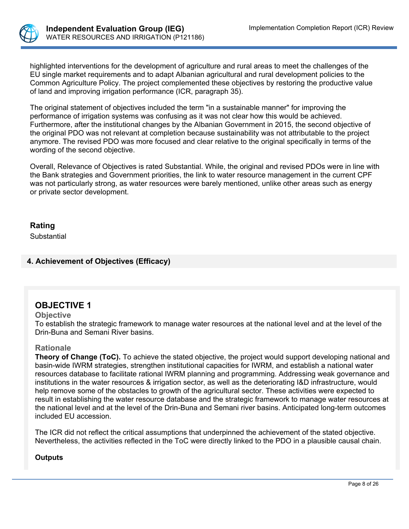

highlighted interventions for the development of agriculture and rural areas to meet the challenges of the EU single market requirements and to adapt Albanian agricultural and rural development policies to the Common Agriculture Policy. The project complemented these objectives by restoring the productive value of land and improving irrigation performance (ICR, paragraph 35).

The original statement of objectives included the term "in a sustainable manner" for improving the performance of irrigation systems was confusing as it was not clear how this would be achieved. Furthermore, after the institutional changes by the Albanian Government in 2015, the second objective of the original PDO was not relevant at completion because sustainability was not attributable to the project anymore. The revised PDO was more focused and clear relative to the original specifically in terms of the wording of the second objective.

Overall, Relevance of Objectives is rated Substantial. While, the original and revised PDOs were in line with the Bank strategies and Government priorities, the link to water resource management in the current CPF was not particularly strong, as water resources were barely mentioned, unlike other areas such as energy or private sector development.

## **Rating**

**Substantial** 

## **4. Achievement of Objectives (Efficacy)**

## **OBJECTIVE 1**

### **Objective**

To establish the strategic framework to manage water resources at the national level and at the level of the Drin-Buna and Semani River basins.

## **Rationale**

**Theory of Change (ToC).** To achieve the stated objective, the project would support developing national and basin-wide IWRM strategies, strengthen institutional capacities for IWRM, and establish a national water resources database to facilitate rational IWRM planning and programming. Addressing weak governance and institutions in the water resources & irrigation sector, as well as the deteriorating I&D infrastructure, would help remove some of the obstacles to growth of the agricultural sector. These activities were expected to result in establishing the water resource database and the strategic framework to manage water resources at the national level and at the level of the Drin-Buna and Semani river basins. Anticipated long-term outcomes included EU accession.

The ICR did not reflect the critical assumptions that underpinned the achievement of the stated objective. Nevertheless, the activities reflected in the ToC were directly linked to the PDO in a plausible causal chain.

## **Outputs**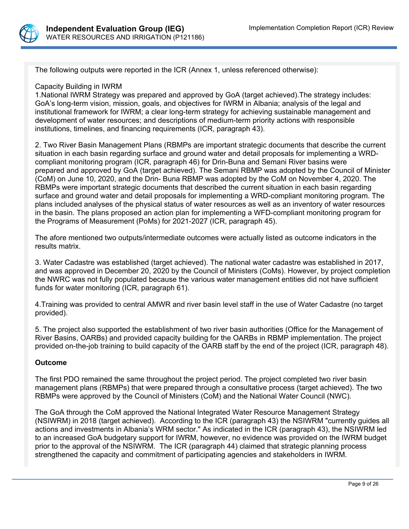

The following outputs were reported in the ICR (Annex 1, unless referenced otherwise):

### Capacity Building in IWRM

1.National IWRM Strategy was prepared and approved by GoA (target achieved).The strategy includes: GoA's long-term vision, mission, goals, and objectives for IWRM in Albania; analysis of the legal and institutional framework for IWRM; a clear long-term strategy for achieving sustainable management and development of water resources; and descriptions of medium-term priority actions with responsible institutions, timelines, and financing requirements (ICR, paragraph 43).

2. Two River Basin Management Plans (RBMPs are important strategic documents that describe the current situation in each basin regarding surface and ground water and detail proposals for implementing a WRDcompliant monitoring program (ICR, paragraph 46) for Drin-Buna and Semani River basins were prepared and approved by GoA (target achieved). The Semani RBMP was adopted by the Council of Minister (CoM) on June 10, 2020, and the Drin- Buna RBMP was adopted by the CoM on November 4, 2020. The RBMPs were important strategic documents that described the current situation in each basin regarding surface and ground water and detail proposals for implementing a WRD-compliant monitoring program. The plans included analyses of the physical status of water resources as well as an inventory of water resources in the basin. The plans proposed an action plan for implementing a WFD-compliant monitoring program for the Programs of Measurement (PoMs) for 2021-2027 (ICR, paragraph 45).

The afore mentioned two outputs/intermediate outcomes were actually listed as outcome indicators in the results matrix.

3. Water Cadastre was established (target achieved). The national water cadastre was established in 2017, and was approved in December 20, 2020 by the Council of Ministers (CoMs). However, by project completion the NWRC was not fully populated because the various water management entities did not have sufficient funds for water monitoring (ICR, paragraph 61).

4.Training was provided to central AMWR and river basin level staff in the use of Water Cadastre (no target provided).

5. The project also supported the establishment of two river basin authorities (Office for the Management of River Basins, OARBs) and provided capacity building for the OARBs in RBMP implementation. The project provided on-the-job training to build capacity of the OARB staff by the end of the project (ICR, paragraph 48).

## **Outcome**

The first PDO remained the same throughout the project period. The project completed two river basin management plans (RBMPs) that were prepared through a consultative process (target achieved). The two RBMPs were approved by the Council of Ministers (CoM) and the National Water Council (NWC).

The GoA through the CoM approved the National Integrated Water Resource Management Strategy (NSIWRM) in 2018 (target achieved). According to the ICR (paragraph 43) the NSIWRM "currently guides all actions and investments in Albania's WRM sector." As indicated in the ICR (paragraph 43), the NSIWRM led to an increased GoA budgetary support for IWRM, however, no evidence was provided on the IWRM budget prior to the approval of the NSIWRM. The ICR (paragraph 44) claimed that strategic planning process strengthened the capacity and commitment of participating agencies and stakeholders in IWRM.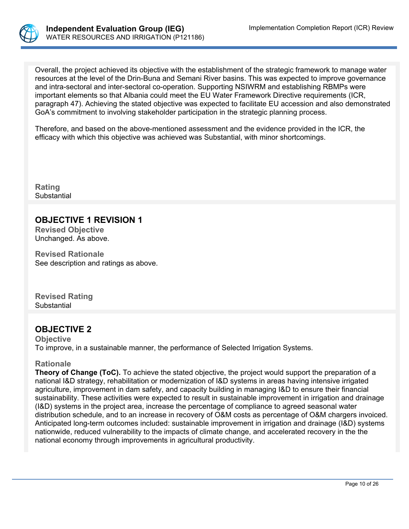

Overall, the project achieved its objective with the establishment of the strategic framework to manage water resources at the level of the Drin-Buna and Semani River basins. This was expected to improve governance and intra-sectoral and inter-sectoral co-operation. Supporting NSIWRM and establishing RBMPs were important elements so that Albania could meet the EU Water Framework Directive requirements (ICR, paragraph 47). Achieving the stated objective was expected to facilitate EU accession and also demonstrated GoA's commitment to involving stakeholder participation in the strategic planning process.

Therefore, and based on the above-mentioned assessment and the evidence provided in the ICR, the efficacy with which this objective was achieved was Substantial, with minor shortcomings.

**Rating Substantial** 

# **OBJECTIVE 1 REVISION 1**

**Revised Objective** Unchanged. As above.

**Revised Rationale** See description and ratings as above.

**Revised Rating** Substantial

## **OBJECTIVE 2**

**Objective** To improve, in a sustainable manner, the performance of Selected Irrigation Systems.

## **Rationale**

**Theory of Change (ToC).** To achieve the stated objective, the project would support the preparation of a national I&D strategy, rehabilitation or modernization of I&D systems in areas having intensive irrigated agriculture, improvement in dam safety, and capacity building in managing I&D to ensure their financial sustainability. These activities were expected to result in sustainable improvement in irrigation and drainage (I&D) systems in the project area, increase the percentage of compliance to agreed seasonal water distribution schedule, and to an increase in recovery of O&M costs as percentage of O&M chargers invoiced. Anticipated long-term outcomes included: sustainable improvement in irrigation and drainage (I&D) systems nationwide, reduced vulnerability to the impacts of climate change, and accelerated recovery in the the national economy through improvements in agricultural productivity.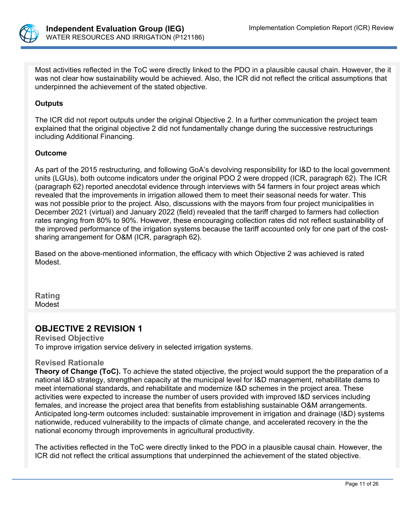

Most activities reflected in the ToC were directly linked to the PDO in a plausible causal chain. However, the it was not clear how sustainability would be achieved. Also, the ICR did not reflect the critical assumptions that underpinned the achievement of the stated objective.

## **Outputs**

The ICR did not report outputs under the original Objective 2. In a further communication the project team explained that the original objective 2 did not fundamentally change during the successive restructurings including Additional Financing.

## **Outcome**

As part of the 2015 restructuring, and following GoA's devolving responsibility for I&D to the local government units (LGUs), both outcome indicators under the original PDO 2 were dropped (ICR, paragraph 62). The ICR (paragraph 62) reported anecdotal evidence through interviews with 54 farmers in four project areas which revealed that the improvements in irrigation allowed them to meet their seasonal needs for water. This was not possible prior to the project. Also, discussions with the mayors from four project municipalities in December 2021 (virtual) and January 2022 (field) revealed that the tariff charged to farmers had collection rates ranging from 80% to 90%. However, these encouraging collection rates did not reflect sustainability of the improved performance of the irrigation systems because the tariff accounted only for one part of the costsharing arrangement for O&M (ICR, paragraph 62).

Based on the above-mentioned information, the efficacy with which Objective 2 was achieved is rated Modest.

**Rating** Modest

## **OBJECTIVE 2 REVISION 1**

**Revised Objective** To improve irrigation service delivery in selected irrigation systems.

## **Revised Rationale**

**Theory of Change (ToC).** To achieve the stated objective, the project would support the the preparation of a national I&D strategy, strengthen capacity at the municipal level for I&D management, rehabilitate dams to meet international standards, and rehabilitate and modernize I&D schemes in the project area. These activities were expected to increase the number of users provided with improved I&D services including females, and increase the project area that benefits from establishing sustainable O&M arrangements. Anticipated long-term outcomes included: sustainable improvement in irrigation and drainage (I&D) systems nationwide, reduced vulnerability to the impacts of climate change, and accelerated recovery in the the national economy through improvements in agricultural productivity.

The activities reflected in the ToC were directly linked to the PDO in a plausible causal chain. However, the ICR did not reflect the critical assumptions that underpinned the achievement of the stated objective.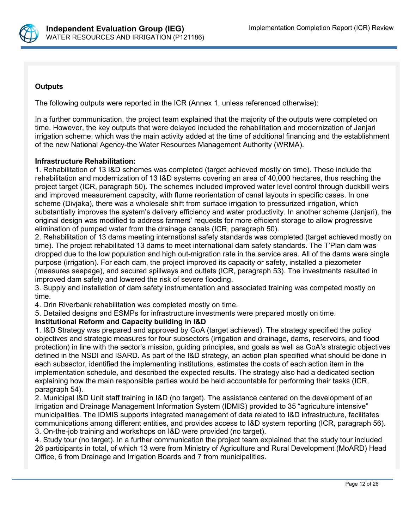

## **Outputs**

The following outputs were reported in the ICR (Annex 1, unless referenced otherwise):

In a further communication, the project team explained that the majority of the outputs were completed on time. However, the key outputs that were delayed included the rehabilitation and modernization of Janjari irrigation scheme, which was the main activity added at the time of additional financing and the establishment of the new National Agency-the Water Resources Management Authority (WRMA).

## **Infrastructure Rehabilitation:**

1. Rehabilitation of 13 I&D schemes was completed (target achieved mostly on time). These include the rehabilitation and modernization of 13 I&D systems covering an area of 40,000 hectares, thus reaching the project target (ICR, paragraph 50). The schemes included improved water level control through duckbill weirs and improved measurement capacity, with flume reorientation of canal layouts in specific cases. In one scheme (Divjaka), there was a wholesale shift from surface irrigation to pressurized irrigation, which substantially improves the system's delivery efficiency and water productivity. In another scheme (Janjari), the original design was modified to address farmers' requests for more efficient storage to allow progressive elimination of pumped water from the drainage canals (ICR, paragraph 50).

2. Rehabilitation of 13 dams meeting international safety standards was completed (target achieved mostly on time). The project rehabilitated 13 dams to meet international dam safety standards. The T'Plan dam was dropped due to the low population and high out-migration rate in the service area. All of the dams were single purpose (irrigation). For each dam, the project improved its capacity or safety, installed a piezometer (measures seepage), and secured spillways and outlets (ICR, paragraph 53). The investments resulted in improved dam safety and lowered the risk of severe flooding.

3. Supply and installation of dam safety instrumentation and associated training was competed mostly on time.

4. Drin Riverbank rehabilitation was completed mostly on time.

5. Detailed designs and ESMPs for infrastructure investments were prepared mostly on time.

## **Institutional Reform and Capacity building in I&D**

1. I&D Strategy was prepared and approved by GoA (target achieved). The strategy specified the policy objectives and strategic measures for four subsectors (irrigation and drainage, dams, reservoirs, and flood protection) in line with the sector's mission, guiding principles, and goals as well as GoA's strategic objectives defined in the NSDI and ISARD. As part of the I&D strategy, an action plan specified what should be done in each subsector, identified the implementing institutions, estimates the costs of each action item in the implementation schedule, and described the expected results. The strategy also had a dedicated section explaining how the main responsible parties would be held accountable for performing their tasks (ICR, paragraph 54).

2. Municipal I&D Unit staff training in I&D (no target). The assistance centered on the development of an Irrigation and Drainage Management Information System (IDMIS) provided to 35 "agriculture intensive" municipalities. The IDMIS supports integrated management of data related to I&D infrastructure, facilitates communications among different entities, and provides access to I&D system reporting (ICR, paragraph 56). 3. On-the-job training and workshops on I&D were provided (no target).

4. Study tour (no target). In a further communication the project team explained that the study tour included 26 participants in total, of which 13 were from Ministry of Agriculture and Rural Development (MoARD) Head Office, 6 from Drainage and Irrigation Boards and 7 from municipalities.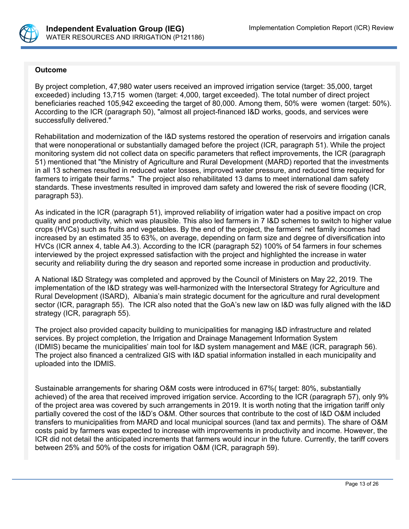

### **Outcome**

By project completion, 47,980 water users received an improved irrigation service (target: 35,000, target exceeded) including 13,715 women (target: 4,000, target exceeded). The total number of direct project beneficiaries reached 105,942 exceeding the target of 80,000. Among them, 50% were women (target: 50%). According to the ICR (paragraph 50), "almost all project-financed I&D works, goods, and services were successfully delivered."

Rehabilitation and modernization of the I&D systems restored the operation of reservoirs and irrigation canals that were nonoperational or substantially damaged before the project (ICR, paragraph 51). While the project monitoring system did not collect data on specific parameters that reflect improvements, the ICR (paragraph 51) mentioned that "the Ministry of Agriculture and Rural Development (MARD) reported that the investments in all 13 schemes resulted in reduced water losses, improved water pressure, and reduced time required for farmers to irrigate their farms." The project also rehabilitated 13 dams to meet international dam safety standards. These investments resulted in improved dam safety and lowered the risk of severe flooding (ICR, paragraph 53).

As indicated in the ICR (paragraph 51), improved reliability of irrigation water had a positive impact on crop quality and productivity, which was plausible. This also led farmers in 7 I&D schemes to switch to higher value crops (HVCs) such as fruits and vegetables. By the end of the project, the farmers' net family incomes had increased by an estimated 35 to 63%, on average, depending on farm size and degree of diversification into HVCs (ICR annex 4, table A4.3). According to the ICR (paragraph 52) 100% of 54 farmers in four schemes interviewed by the project expressed satisfaction with the project and highlighted the increase in water security and reliability during the dry season and reported some increase in production and productivity.

A National I&D Strategy was completed and approved by the Council of Ministers on May 22, 2019. The implementation of the I&D strategy was well-harmonized with the Intersectoral Strategy for Agriculture and Rural Development (ISARD), Albania's main strategic document for the agriculture and rural development sector (ICR, paragraph 55). The ICR also noted that the GoA's new law on I&D was fully aligned with the I&D strategy (ICR, paragraph 55).

The project also provided capacity building to municipalities for managing I&D infrastructure and related services. By project completion, the Irrigation and Drainage Management Information System (IDMIS) became the municipalities' main tool for I&D system management and M&E (ICR, paragraph 56). The project also financed a centralized GIS with I&D spatial information installed in each municipality and uploaded into the IDMIS.

Sustainable arrangements for sharing O&M costs were introduced in 67%( target: 80%, substantially achieved) of the area that received improved irrigation service. According to the ICR (paragraph 57), only 9% of the project area was covered by such arrangements in 2019. It is worth noting that the irrigation tariff only partially covered the cost of the I&D's O&M. Other sources that contribute to the cost of I&D O&M included transfers to municipalities from MARD and local municipal sources (land tax and permits). The share of O&M costs paid by farmers was expected to increase with improvements in productivity and income. However, the ICR did not detail the anticipated increments that farmers would incur in the future. Currently, the tariff covers between 25% and 50% of the costs for irrigation O&M (ICR, paragraph 59).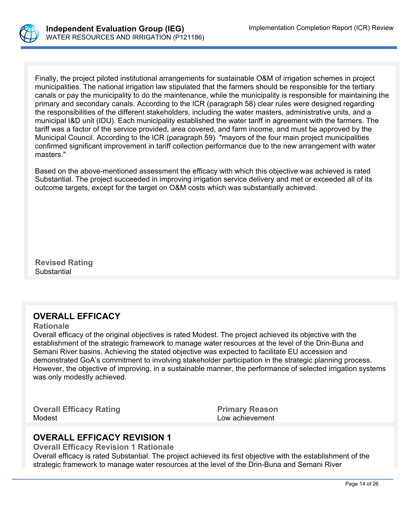

Finally, the project piloted institutional arrangements for sustainable O&M of irrigation schemes in project municipalities. The national irrigation law stipulated that the farmers should be responsible for the tertiary canals or pay the municipality to do the maintenance, while the municipality is responsible for maintaining the primary and secondary canals. According to the ICR (paragraph 58) clear rules were designed regarding the responsibilities of the different stakeholders, including the water masters, administrative units, and a municipal I&D unit (IDU). Each municipality established the water tariff in agreement with the farmers. The tariff was a factor of the service provided, area covered, and farm income, and must be approved by the Municipal Council. According to the ICR (paragraph 59) "mayors of the four main project municipalities confirmed significant improvement in tariff collection performance due to the new arrangement with water masters."

Based on the above-mentioned assessment the efficacy with which this objective was achieved is rated Substantial. The project succeeded in improving irrigation service delivery and met or exceeded all of its outcome targets, except for the target on O&M costs which was substantially achieved.

**Revised Rating Substantial** 

# **OVERALL EFFICACY**

### **Rationale**

Overall efficacy of the original objectives is rated Modest. The project achieved its objective with the establishment of the strategic framework to manage water resources at the level of the Drin-Buna and Semani River basins. Achieving the stated objective was expected to facilitate EU accession and demonstrated GoA's commitment to involving stakeholder participation in the strategic planning process. However, the objective of improving, in a sustainable manner, the performance of selected irrigation systems was only modestly achieved.

**Overall Efficacy Rating**  Primary Reason Modest **Low achievement** 

# **OVERALL EFFICACY REVISION 1**

**Overall Efficacy Revision 1 Rationale**

Overall efficacy is rated Substantial. The project achieved its first objective with the establishment of the strategic framework to manage water resources at the level of the Drin-Buna and Semani River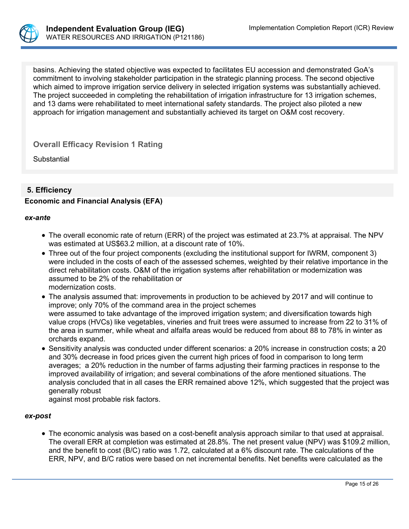

basins. Achieving the stated objective was expected to facilitates EU accession and demonstrated GoA's commitment to involving stakeholder participation in the strategic planning process. The second objective which aimed to improve irrigation service delivery in selected irrigation systems was substantially achieved. The project succeeded in completing the rehabilitation of irrigation infrastructure for 13 irrigation schemes, and 13 dams were rehabilitated to meet international safety standards. The project also piloted a new approach for irrigation management and substantially achieved its target on O&M cost recovery.

**Overall Efficacy Revision 1 Rating**

**Substantial** 

## **5. Efficiency**

## **Economic and Financial Analysis (EFA)**

#### *ex-ante*

- The overall economic rate of return (ERR) of the project was estimated at 23.7% at appraisal. The NPV was estimated at US\$63.2 million, at a discount rate of 10%.
- Three out of the four project components (excluding the institutional support for IWRM, component 3) were included in the costs of each of the assessed schemes, weighted by their relative importance in the direct rehabilitation costs. O&M of the irrigation systems after rehabilitation or modernization was assumed to be 2% of the rehabilitation or modernization costs.
- The analysis assumed that: improvements in production to be achieved by 2017 and will continue to improve; only 70% of the command area in the project schemes were assumed to take advantage of the improved irrigation system; and diversification towards high value crops (HVCs) like vegetables, vineries and fruit trees were assumed to increase from 22 to 31% of the area in summer, while wheat and alfalfa areas would be reduced from about 88 to 78% in winter as orchards expand.
- Sensitivity analysis was conducted under different scenarios: a 20% increase in construction costs; a 20 and 30% decrease in food prices given the current high prices of food in comparison to long term averages; a 20% reduction in the number of farms adjusting their farming practices in response to the improved availability of irrigation; and several combinations of the afore mentioned situations. The analysis concluded that in all cases the ERR remained above 12%, which suggested that the project was generally robust

against most probable risk factors.

### *ex-post*

 The economic analysis was based on a cost-benefit analysis approach similar to that used at appraisal. The overall ERR at completion was estimated at 28.8%. The net present value (NPV) was \$109.2 million, and the benefit to cost (B/C) ratio was 1.72, calculated at a 6% discount rate. The calculations of the ERR, NPV, and B/C ratios were based on net incremental benefits. Net benefits were calculated as the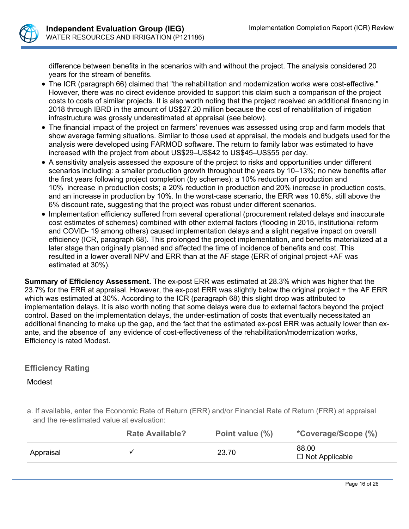

difference between benefits in the scenarios with and without the project. The analysis considered 20 years for the stream of benefits.

- The ICR (paragraph 66) claimed that "the rehabilitation and modernization works were cost-effective." However, there was no direct evidence provided to support this claim such a comparison of the project costs to costs of similar projects. It is also worth noting that the project received an additional financing in 2018 through IBRD in the amount of US\$27.20 million because the cost of rehabilitation of irrigation infrastructure was grossly underestimated at appraisal (see below).
- The financial impact of the project on farmers' revenues was assessed using crop and farm models that show average farming situations. Similar to those used at appraisal, the models and budgets used for the analysis were developed using FARMOD software. The return to family labor was estimated to have increased with the project from about US\$29–US\$42 to US\$45–US\$55 per day.
- A sensitivity analysis assessed the exposure of the project to risks and opportunities under different scenarios including: a smaller production growth throughout the years by 10–13%; no new benefits after the first years following project completion (by schemes); a 10% reduction of production and 10% increase in production costs; a 20% reduction in production and 20% increase in production costs, and an increase in production by 10%. In the worst-case scenario, the ERR was 10.6%, still above the 6% discount rate, suggesting that the project was robust under different scenarios.
- Implementation efficiency suffered from several operational (procurement related delays and inaccurate cost estimates of schemes) combined with other external factors (flooding in 2015, institutional reform and COVID- 19 among others) caused implementation delays and a slight negative impact on overall efficiency (ICR, paragraph 68). This prolonged the project implementation, and benefits materialized at a later stage than originally planned and affected the time of incidence of benefits and cost. This resulted in a lower overall NPV and ERR than at the AF stage (ERR of original project +AF was estimated at 30%).

**Summary of Efficiency Assessment.** The ex-post ERR was estimated at 28.3% which was higher that the 23.7% for the ERR at appraisal. However, the ex-post ERR was slightly below the original project + the AF ERR which was estimated at 30%. According to the ICR (paragraph 68) this slight drop was attributed to implementation delays. It is also worth noting that some delays were due to external factors beyond the project control. Based on the implementation delays, the under-estimation of costs that eventually necessitated an additional financing to make up the gap, and the fact that the estimated ex-post ERR was actually lower than exante, and the absence of any evidence of cost-effectiveness of the rehabilitation/modernization works, Efficiency is rated Modest.

## **Efficiency Rating**

## Modest

a. If available, enter the Economic Rate of Return (ERR) and/or Financial Rate of Return (FRR) at appraisal and the re-estimated value at evaluation:

|           | <b>Rate Available?</b> | Point value (%) | *Coverage/Scope (%)            |
|-----------|------------------------|-----------------|--------------------------------|
| Appraisal |                        | 23.70           | 88.00<br>$\Box$ Not Applicable |
|           |                        |                 |                                |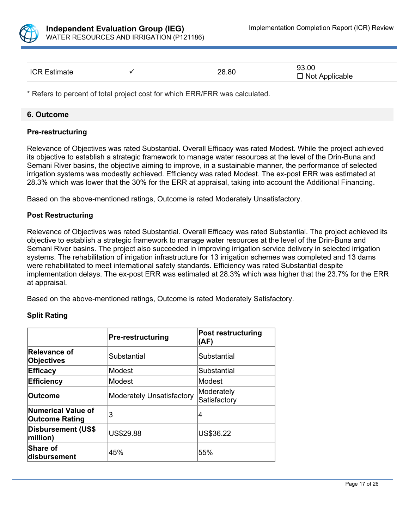

| <b>ICR Estimate</b> |  | 28.80 | 93.00<br>$\Box$ Not Applicable |  |
|---------------------|--|-------|--------------------------------|--|
|---------------------|--|-------|--------------------------------|--|

\* Refers to percent of total project cost for which ERR/FRR was calculated.

### **6. Outcome**

### **Pre-restructuring**

Relevance of Objectives was rated Substantial. Overall Efficacy was rated Modest. While the project achieved its objective to establish a strategic framework to manage water resources at the level of the Drin-Buna and Semani River basins, the objective aiming to improve, in a sustainable manner, the performance of selected irrigation systems was modestly achieved. Efficiency was rated Modest. The ex-post ERR was estimated at 28.3% which was lower that the 30% for the ERR at appraisal, taking into account the Additional Financing.

Based on the above-mentioned ratings, Outcome is rated Moderately Unsatisfactory.

### **Post Restructuring**

Relevance of Objectives was rated Substantial. Overall Efficacy was rated Substantial. The project achieved its objective to establish a strategic framework to manage water resources at the level of the Drin-Buna and Semani River basins. The project also succeeded in improving irrigation service delivery in selected irrigation systems. The rehabilitation of irrigation infrastructure for 13 irrigation schemes was completed and 13 dams were rehabilitated to meet international safety standards. Efficiency was rated Substantial despite implementation delays. The ex-post ERR was estimated at 28.3% which was higher that the 23.7% for the ERR at appraisal.

Based on the above-mentioned ratings, Outcome is rated Moderately Satisfactory.

### **Split Rating**

|                                             | <b>Pre-restructuring</b>  | <b>Post restructuring</b><br>(AF) |
|---------------------------------------------|---------------------------|-----------------------------------|
| Relevance of<br>Objectives                  | Substantial               | Substantial                       |
| <b>Efficacy</b>                             | lModest                   | Substantial                       |
| <b>Efficiency</b>                           | lModest                   | Modest                            |
| <b>Outcome</b>                              | Moderately Unsatisfactory | Moderately<br>Satisfactory        |
| Numerical Value of<br><b>Outcome Rating</b> | 3                         | 14                                |
| Disbursement (US\$<br>million)              | <b>US\$29.88</b>          | US\$36.22                         |
| Share of<br>disbursement                    | 45%                       | 55%                               |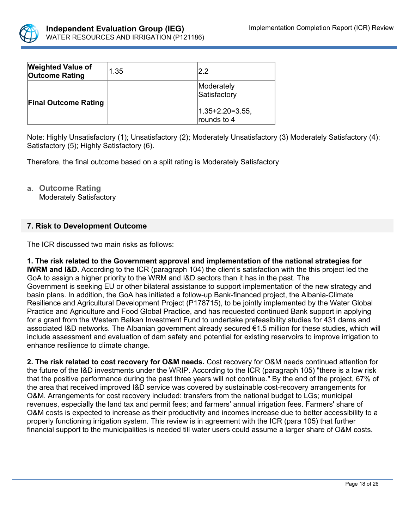

| <b>Weighted Value of</b><br><b>Outcome Rating</b> | 1.35 | 2.2                               |
|---------------------------------------------------|------|-----------------------------------|
| <b>Final Outcome Rating</b>                       |      | Moderately<br>Satisfactory        |
|                                                   |      | $ 1.35+2.20=3.55,$<br>rounds to 4 |

Note: Highly Unsatisfactory (1); Unsatisfactory (2); Moderately Unsatisfactory (3) Moderately Satisfactory (4); Satisfactory (5); Highly Satisfactory (6).

Therefore, the final outcome based on a split rating is Moderately Satisfactory

**a. Outcome Rating** Moderately Satisfactory

## **7. Risk to Development Outcome**

The ICR discussed two main risks as follows:

**1. The risk related to the Government approval and implementation of the national strategies for IWRM and I&D.** According to the ICR (paragraph 104) the client's satisfaction with the this project led the GoA to assign a higher priority to the WRM and I&D sectors than it has in the past. The Government is seeking EU or other bilateral assistance to support implementation of the new strategy and basin plans. In addition, the GoA has initiated a follow-up Bank-financed project, the Albania-Climate Resilience and Agricultural Development Project (P178715), to be jointly implemented by the Water Global Practice and Agriculture and Food Global Practice, and has requested continued Bank support in applying for a grant from the Western Balkan Investment Fund to undertake prefeasibility studies for 431 dams and associated I&D networks. The Albanian government already secured €1.5 million for these studies, which will include assessment and evaluation of dam safety and potential for existing reservoirs to improve irrigation to enhance resilience to climate change.

**2. The risk related to cost recovery for O&M needs.** Cost recovery for O&M needs continued attention for the future of the I&D investments under the WRIP. According to the ICR (paragraph 105) "there is a low risk that the positive performance during the past three years will not continue." By the end of the project, 67% of the area that received improved I&D service was covered by sustainable cost-recovery arrangements for O&M. Arrangements for cost recovery included: transfers from the national budget to LGs; municipal revenues, especially the land tax and permit fees; and farmers' annual irrigation fees. Farmers' share of O&M costs is expected to increase as their productivity and incomes increase due to better accessibility to a properly functioning irrigation system. This review is in agreement with the ICR (para 105) that further financial support to the municipalities is needed till water users could assume a larger share of O&M costs.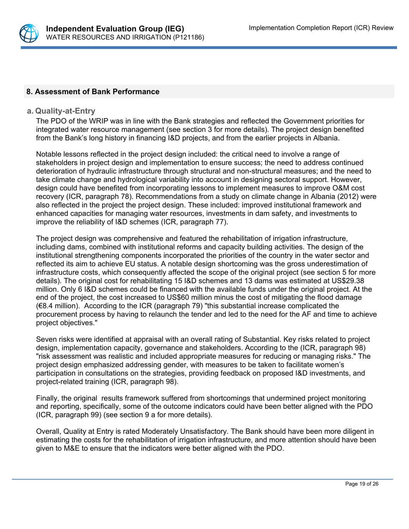

## **8. Assessment of Bank Performance**

### **a. Quality-at-Entry**

The PDO of the WRIP was in line with the Bank strategies and reflected the Government priorities for integrated water resource management (see section 3 for more details). The project design benefited from the Bank's long history in financing I&D projects, and from the earlier projects in Albania.

Notable lessons reflected in the project design included: the critical need to involve a range of stakeholders in project design and implementation to ensure success; the need to address continued deterioration of hydraulic infrastructure through structural and non-structural measures; and the need to take climate change and hydrological variability into account in designing sectoral support. However, design could have benefited from incorporating lessons to implement measures to improve O&M cost recovery (ICR, paragraph 78). Recommendations from a study on climate change in Albania (2012) were also reflected in the project the project design. These included: improved institutional framework and enhanced capacities for managing water resources, investments in dam safety, and investments to improve the reliability of I&D schemes (ICR, paragraph 77).

The project design was comprehensive and featured the rehabilitation of irrigation infrastructure, including dams, combined with institutional reforms and capacity building activities. The design of the institutional strengthening components incorporated the priorities of the country in the water sector and reflected its aim to achieve EU status. A notable design shortcoming was the gross underestimation of infrastructure costs, which consequently affected the scope of the original project (see section 5 for more details). The original cost for rehabilitating 15 I&D schemes and 13 dams was estimated at US\$29.38 million. Only 6 I&D schemes could be financed with the available funds under the original project. At the end of the project, the cost increased to US\$60 million minus the cost of mitigating the flood damage (€8.4 million). According to the ICR (paragraph 79) "this substantial increase complicated the procurement process by having to relaunch the tender and led to the need for the AF and time to achieve project objectives."

Seven risks were identified at appraisal with an overall rating of Substantial. Key risks related to project design, implementation capacity, governance and stakeholders. According to the (ICR, paragraph 98) "risk assessment was realistic and included appropriate measures for reducing or managing risks." The project design emphasized addressing gender, with measures to be taken to facilitate women's participation in consultations on the strategies, providing feedback on proposed I&D investments, and project-related training (ICR, paragraph 98).

Finally, the original results framework suffered from shortcomings that undermined project monitoring and reporting, specifically, some of the outcome indicators could have been better aligned with the PDO (ICR, paragraph 99) (see section 9 a for more details).

Overall, Quality at Entry is rated Moderately Unsatisfactory. The Bank should have been more diligent in estimating the costs for the rehabilitation of irrigation infrastructure, and more attention should have been given to M&E to ensure that the indicators were better aligned with the PDO.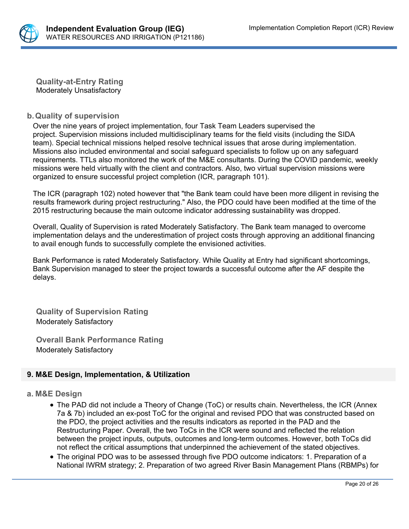

**Quality-at-Entry Rating** Moderately Unsatisfactory

## **b.Quality of supervision**

Over the nine years of project implementation, four Task Team Leaders supervised the project. Supervision missions included multidisciplinary teams for the field visits (including the SIDA team). Special technical missions helped resolve technical issues that arose during implementation. Missions also included environmental and social safeguard specialists to follow up on any safeguard requirements. TTLs also monitored the work of the M&E consultants. During the COVID pandemic, weekly missions were held virtually with the client and contractors. Also, two virtual supervision missions were organized to ensure successful project completion (ICR, paragraph 101).

The ICR (paragraph 102) noted however that "the Bank team could have been more diligent in revising the results framework during project restructuring." Also, the PDO could have been modified at the time of the 2015 restructuring because the main outcome indicator addressing sustainability was dropped.

Overall, Quality of Supervision is rated Moderately Satisfactory. The Bank team managed to overcome implementation delays and the underestimation of project costs through approving an additional financing to avail enough funds to successfully complete the envisioned activities.

Bank Performance is rated Moderately Satisfactory. While Quality at Entry had significant shortcomings, Bank Supervision managed to steer the project towards a successful outcome after the AF despite the delays.

**Quality of Supervision Rating**  Moderately Satisfactory

**Overall Bank Performance Rating** Moderately Satisfactory

## **9. M&E Design, Implementation, & Utilization**

### **a. M&E Design**

- The PAD did not include a Theory of Change (ToC) or results chain. Nevertheless, the ICR (Annex 7a & 7b) included an ex-post ToC for the original and revised PDO that was constructed based on the PDO, the project activities and the results indicators as reported in the PAD and the Restructuring Paper. Overall, the two ToCs in the ICR were sound and reflected the relation between the project inputs, outputs, outcomes and long-term outcomes. However, both ToCs did not reflect the critical assumptions that underpinned the achievement of the stated objectives.
- The original PDO was to be assessed through five PDO outcome indicators: 1. Preparation of a National IWRM strategy; 2. Preparation of two agreed River Basin Management Plans (RBMPs) for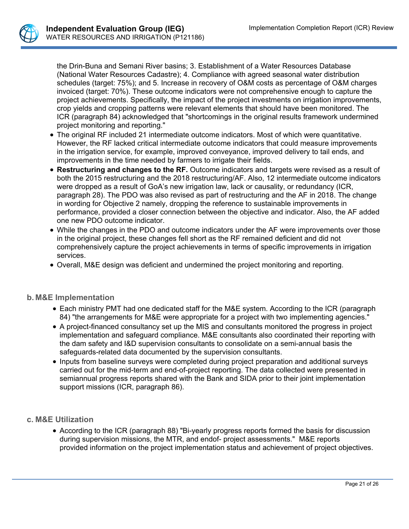

the Drin-Buna and Semani River basins; 3. Establishment of a Water Resources Database (National Water Resources Cadastre); 4. Compliance with agreed seasonal water distribution schedules (target: 75%); and 5. Increase in recovery of O&M costs as percentage of O&M charges invoiced (target: 70%). These outcome indicators were not comprehensive enough to capture the project achievements. Specifically, the impact of the project investments on irrigation improvements, crop yields and cropping patterns were relevant elements that should have been monitored. The ICR (paragraph 84) acknowledged that "shortcomings in the original results framework undermined project monitoring and reporting."

- The original RF included 21 intermediate outcome indicators. Most of which were quantitative. However, the RF lacked critical intermediate outcome indicators that could measure improvements in the irrigation service, for example, improved conveyance, improved delivery to tail ends, and improvements in the time needed by farmers to irrigate their fields.
- **Restructuring and changes to the RF.** Outcome indicators and targets were revised as a result of both the 2015 restructuring and the 2018 restructuring/AF. Also, 12 intermediate outcome indicators were dropped as a result of GoA's new irrigation law, lack or causality, or redundancy (ICR, paragraph 28). The PDO was also revised as part of restructuring and the AF in 2018. The change in wording for Objective 2 namely, dropping the reference to sustainable improvements in performance, provided a closer connection between the objective and indicator. Also, the AF added one new PDO outcome indicator.
- While the changes in the PDO and outcome indicators under the AF were improvements over those in the original project, these changes fell short as the RF remained deficient and did not comprehensively capture the project achievements in terms of specific improvements in irrigation services.
- Overall, M&E design was deficient and undermined the project monitoring and reporting.

## **b. M&E Implementation**

- Each ministry PMT had one dedicated staff for the M&E system. According to the ICR (paragraph 84) "the arrangements for M&E were appropriate for a project with two implementing agencies."
- A project-financed consultancy set up the MIS and consultants monitored the progress in project implementation and safeguard compliance. M&E consultants also coordinated their reporting with the dam safety and I&D supervision consultants to consolidate on a semi-annual basis the safeguards-related data documented by the supervision consultants.
- Inputs from baseline surveys were completed during project preparation and additional surveys carried out for the mid-term and end-of-project reporting. The data collected were presented in semiannual progress reports shared with the Bank and SIDA prior to their joint implementation support missions (ICR, paragraph 86).

## **c. M&E Utilization**

• According to the ICR (paragraph 88) "Bi-yearly progress reports formed the basis for discussion during supervision missions, the MTR, and endof- project assessments." M&E reports provided information on the project implementation status and achievement of project objectives.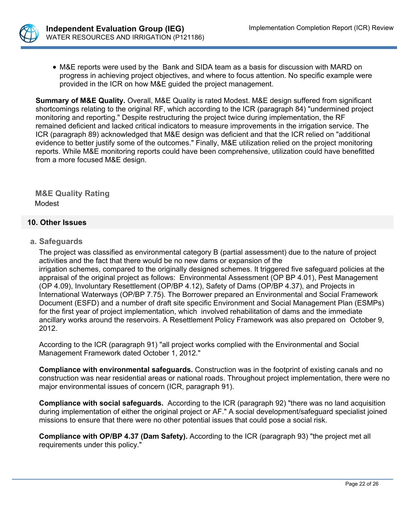

 M&E reports were used by the Bank and SIDA team as a basis for discussion with MARD on progress in achieving project objectives, and where to focus attention. No specific example were provided in the ICR on how M&E guided the project management.

**Summary of M&E Quality.** Overall, M&E Quality is rated Modest. M&E design suffered from significant shortcomings relating to the original RF, which according to the ICR (paragraph 84) "undermined project monitoring and reporting." Despite restructuring the project twice during implementation, the RF remained deficient and lacked critical indicators to measure improvements in the irrigation service. The ICR (paragraph 89) acknowledged that M&E design was deficient and that the ICR relied on "additional evidence to better justify some of the outcomes." Finally, M&E utilization relied on the project monitoring reports. While M&E monitoring reports could have been comprehensive, utilization could have benefitted from a more focused M&E design.

**M&E Quality Rating** Modest

## **10. Other Issues**

### **a. Safeguards**

The project was classified as environmental category B (partial assessment) due to the nature of project activities and the fact that there would be no new dams or expansion of the irrigation schemes, compared to the originally designed schemes. It triggered five safeguard policies at the appraisal of the original project as follows: Environmental Assessment (OP BP 4.01), Pest Management (OP 4.09), Involuntary Resettlement (OP/BP 4.12), Safety of Dams (OP/BP 4.37), and Projects in International Waterways (OP/BP 7.75). The Borrower prepared an Environmental and Social Framework Document (ESFD) and a number of draft site specific Environment and Social Management Plan (ESMPs) for the first year of project implementation, which involved rehabilitation of dams and the immediate ancillary works around the reservoirs. A Resettlement Policy Framework was also prepared on October 9, 2012.

According to the ICR (paragraph 91) "all project works complied with the Environmental and Social Management Framework dated October 1, 2012."

**Compliance with environmental safeguards.** Construction was in the footprint of existing canals and no construction was near residential areas or national roads. Throughout project implementation, there were no major environmental issues of concern (ICR, paragraph 91).

**Compliance with social safeguards.** According to the ICR (paragraph 92) "there was no land acquisition during implementation of either the original project or AF." A social development/safeguard specialist joined missions to ensure that there were no other potential issues that could pose a social risk.

**Compliance with OP/BP 4.37 (Dam Safety).** According to the ICR (paragraph 93) "the project met all requirements under this policy."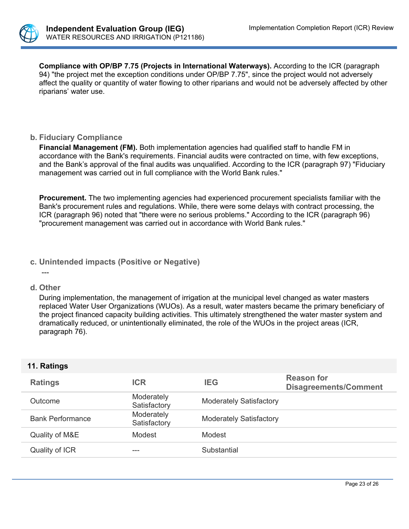

**Compliance with OP/BP 7.75 (Projects in International Waterways).** According to the ICR (paragraph 94) "the project met the exception conditions under OP/BP 7.75", since the project would not adversely affect the quality or quantity of water flowing to other riparians and would not be adversely affected by other riparians' water use.

## **b. Fiduciary Compliance**

**Financial Management (FM).** Both implementation agencies had qualified staff to handle FM in accordance with the Bank's requirements. Financial audits were contracted on time, with few exceptions, and the Bank's approval of the final audits was unqualified. According to the ICR (paragraph 97) "Fiduciary management was carried out in full compliance with the World Bank rules."

**Procurement.** The two implementing agencies had experienced procurement specialists familiar with the Bank's procurement rules and regulations. While, there were some delays with contract processing, the ICR (paragraph 96) noted that "there were no serious problems." According to the ICR (paragraph 96) "procurement management was carried out in accordance with World Bank rules."

### **c. Unintended impacts (Positive or Negative)**

- ---
- **d. Other**

During implementation, the management of irrigation at the municipal level changed as water masters replaced Water User Organizations (WUOs). As a result, water masters became the primary beneficiary of the project financed capacity building activities. This ultimately strengthened the water master system and dramatically reduced, or unintentionally eliminated, the role of the WUOs in the project areas (ICR, paragraph 76).

## **11. Ratings**

| <b>Ratings</b>          | <b>ICR</b>                 | <b>IEG</b>                     | <b>Reason for</b><br><b>Disagreements/Comment</b> |
|-------------------------|----------------------------|--------------------------------|---------------------------------------------------|
| Outcome                 | Moderately<br>Satisfactory | <b>Moderately Satisfactory</b> |                                                   |
| <b>Bank Performance</b> | Moderately<br>Satisfactory | <b>Moderately Satisfactory</b> |                                                   |
| Quality of M&E          | Modest                     | Modest                         |                                                   |
| Quality of ICR          | ---                        | Substantial                    |                                                   |
|                         |                            |                                |                                                   |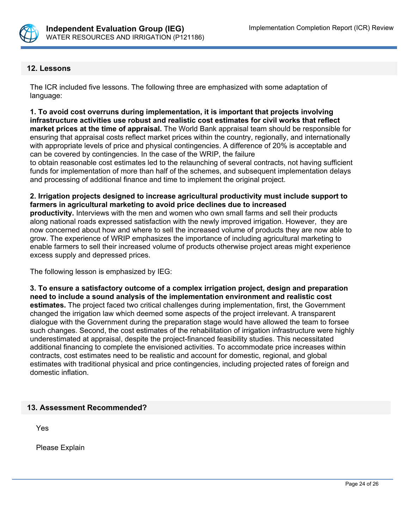

## **12. Lessons**

The ICR included five lessons. The following three are emphasized with some adaptation of language:

**1. To avoid cost overruns during implementation, it is important that projects involving infrastructure activities use robust and realistic cost estimates for civil works that reflect market prices at the time of appraisal.** The World Bank appraisal team should be responsible for ensuring that appraisal costs reflect market prices within the country, regionally, and internationally with appropriate levels of price and physical contingencies. A difference of 20% is acceptable and can be covered by contingencies. In the case of the WRIP, the failure

to obtain reasonable cost estimates led to the relaunching of several contracts, not having sufficient funds for implementation of more than half of the schemes, and subsequent implementation delays and processing of additional finance and time to implement the original project.

### **2. Irrigation projects designed to increase agricultural productivity must include support to farmers in agricultural marketing to avoid price declines due to increased**

**productivity.** Interviews with the men and women who own small farms and sell their products along national roads expressed satisfaction with the newly improved irrigation. However, they are now concerned about how and where to sell the increased volume of products they are now able to grow. The experience of WRIP emphasizes the importance of including agricultural marketing to enable farmers to sell their increased volume of products otherwise project areas might experience excess supply and depressed prices.

The following lesson is emphasized by IEG:

**3. To ensure a satisfactory outcome of a complex irrigation project, design and preparation need to include a sound analysis of the implementation environment and realistic cost estimates.** The project faced two critical challenges during implementation, first, the Government changed the irrigation law which deemed some aspects of the project irrelevant. A transparent dialogue with the Government during the preparation stage would have allowed the team to forsee such changes. Second, the cost estimates of the rehabilitation of irrigation infrastructure were highly underestimated at appraisal, despite the project-financed feasibility studies. This necessitated additional financing to complete the envisioned activities. To accommodate price increases within contracts, cost estimates need to be realistic and account for domestic, regional, and global estimates with traditional physical and price contingencies, including projected rates of foreign and domestic inflation.

## **13. Assessment Recommended?**

Yes

Please Explain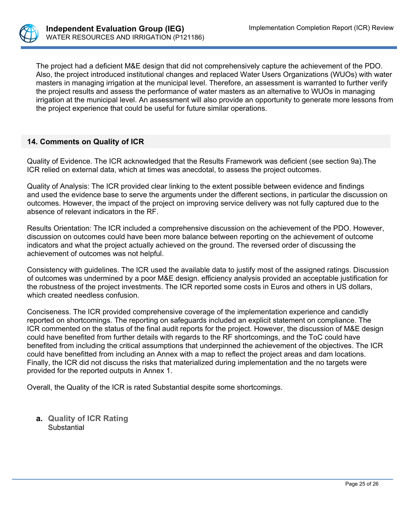

The project had a deficient M&E design that did not comprehensively capture the achievement of the PDO. Also, the project introduced institutional changes and replaced Water Users Organizations (WUOs) with water masters in managing irrigation at the municipal level. Therefore, an assessment is warranted to further verify the project results and assess the performance of water masters as an alternative to WUOs in managing irrigation at the municipal level. An assessment will also provide an opportunity to generate more lessons from the project experience that could be useful for future similar operations.

## **14. Comments on Quality of ICR**

Quality of Evidence. The ICR acknowledged that the Results Framework was deficient (see section 9a).The ICR relied on external data, which at times was anecdotal, to assess the project outcomes.

Quality of Analysis: The ICR provided clear linking to the extent possible between evidence and findings and used the evidence base to serve the arguments under the different sections, in particular the discussion on outcomes. However, the impact of the project on improving service delivery was not fully captured due to the absence of relevant indicators in the RF.

Results Orientation: The ICR included a comprehensive discussion on the achievement of the PDO. However, discussion on outcomes could have been more balance between reporting on the achievement of outcome indicators and what the project actually achieved on the ground. The reversed order of discussing the achievement of outcomes was not helpful.

Consistency with guidelines. The ICR used the available data to justify most of the assigned ratings. Discussion of outcomes was undermined by a poor M&E design. efficiency analysis provided an acceptable justification for the robustness of the project investments. The ICR reported some costs in Euros and others in US dollars, which created needless confusion.

Conciseness. The ICR provided comprehensive coverage of the implementation experience and candidly reported on shortcomings. The reporting on safeguards included an explicit statement on compliance. The ICR commented on the status of the final audit reports for the project. However, the discussion of M&E design could have benefited from further details with regards to the RF shortcomings, and the ToC could have benefited from including the critical assumptions that underpinned the achievement of the objectives. The ICR could have benefitted from including an Annex with a map to reflect the project areas and dam locations. Finally, the ICR did not discuss the risks that materialized during implementation and the no targets were provided for the reported outputs in Annex 1.

Overall, the Quality of the ICR is rated Substantial despite some shortcomings.

**a. Quality of ICR Rating Substantial**